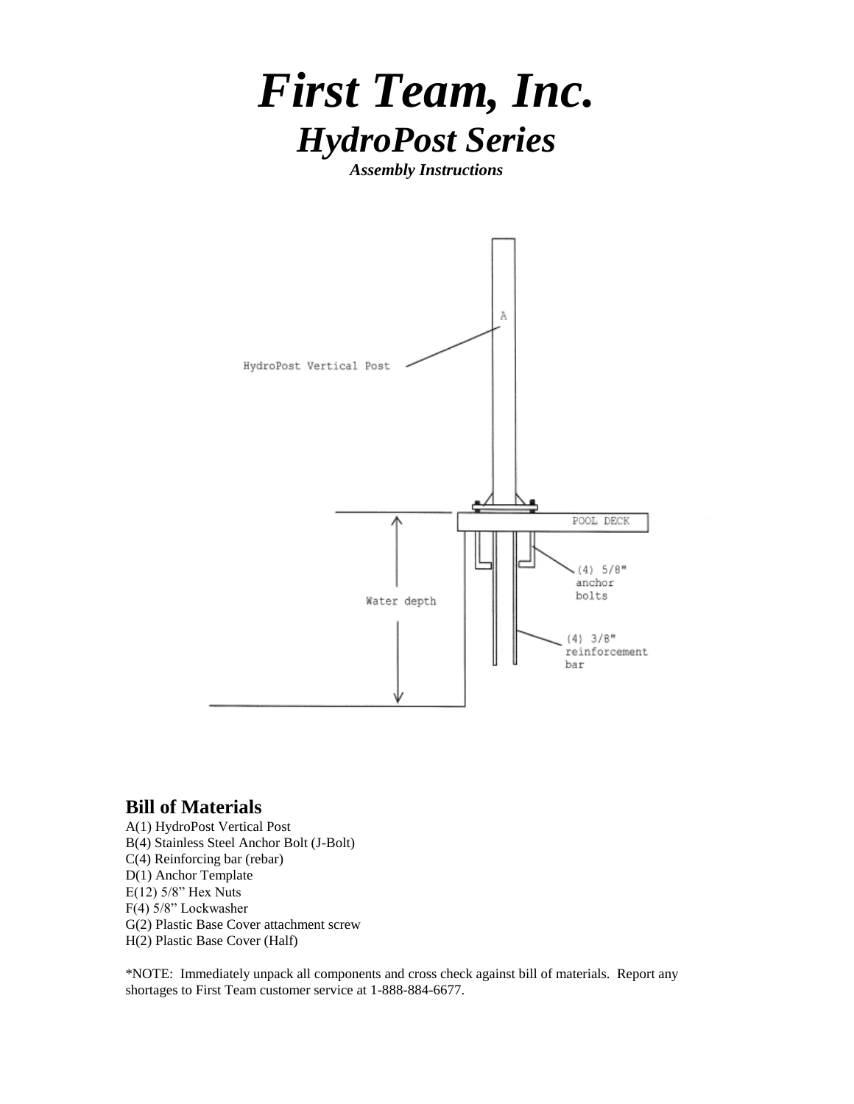

*Assembly Instructions*



## **Bill of Materials**

A(1) HydroPost Vertical Post B(4) Stainless Steel Anchor Bolt (J-Bolt) C(4) Reinforcing bar (rebar) D(1) Anchor Template E(12) 5/8" Hex Nuts F(4) 5/8" Lockwasher G(2) Plastic Base Cover attachment screw H(2) Plastic Base Cover (Half)

\*NOTE: Immediately unpack all components and cross check against bill of materials. Report any shortages to First Team customer service at 1-888-884-6677.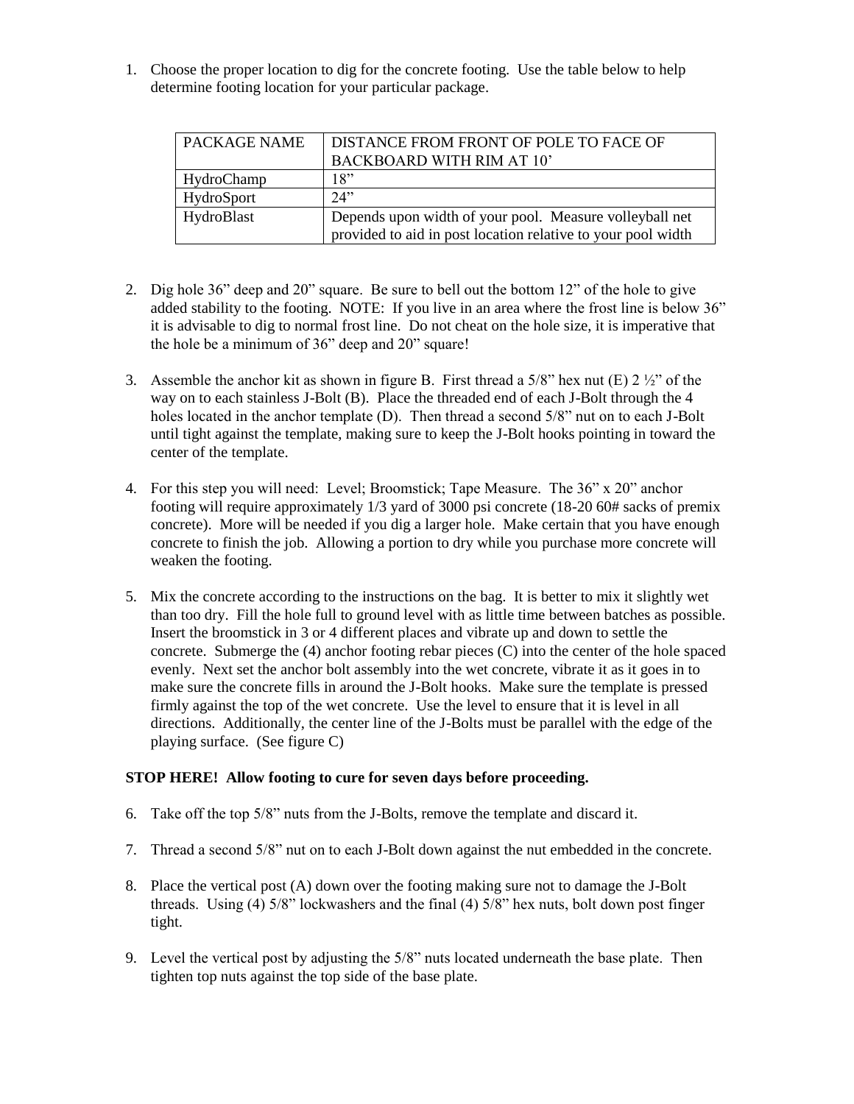1. Choose the proper location to dig for the concrete footing. Use the table below to help determine footing location for your particular package.

| PACKAGE NAME | <b>DISTANCE FROM FRONT OF POLE TO FACE OF</b>                |
|--------------|--------------------------------------------------------------|
|              | <b>BACKBOARD WITH RIM AT 10'</b>                             |
| HydroChamp   | 18"                                                          |
| HydroSport   | 24"                                                          |
| HydroBlast   | Depends upon width of your pool. Measure volleyball net      |
|              | provided to aid in post location relative to your pool width |

- 2. Dig hole 36" deep and 20" square. Be sure to bell out the bottom 12" of the hole to give added stability to the footing. NOTE: If you live in an area where the frost line is below 36" it is advisable to dig to normal frost line. Do not cheat on the hole size, it is imperative that the hole be a minimum of 36" deep and 20" square!
- 3. Assemble the anchor kit as shown in figure B. First thread a 5/8" hex nut (E)  $2\frac{1}{2}$ " of the way on to each stainless J-Bolt (B). Place the threaded end of each J-Bolt through the 4 holes located in the anchor template (D). Then thread a second 5/8" nut on to each J-Bolt until tight against the template, making sure to keep the J-Bolt hooks pointing in toward the center of the template.
- 4. For this step you will need: Level; Broomstick; Tape Measure. The 36" x 20" anchor footing will require approximately 1/3 yard of 3000 psi concrete (18-20 60# sacks of premix concrete). More will be needed if you dig a larger hole. Make certain that you have enough concrete to finish the job. Allowing a portion to dry while you purchase more concrete will weaken the footing.
- 5. Mix the concrete according to the instructions on the bag. It is better to mix it slightly wet than too dry. Fill the hole full to ground level with as little time between batches as possible. Insert the broomstick in 3 or 4 different places and vibrate up and down to settle the concrete. Submerge the (4) anchor footing rebar pieces (C) into the center of the hole spaced evenly. Next set the anchor bolt assembly into the wet concrete, vibrate it as it goes in to make sure the concrete fills in around the J-Bolt hooks. Make sure the template is pressed firmly against the top of the wet concrete. Use the level to ensure that it is level in all directions. Additionally, the center line of the J-Bolts must be parallel with the edge of the playing surface. (See figure C)

## **STOP HERE! Allow footing to cure for seven days before proceeding.**

- 6. Take off the top 5/8" nuts from the J-Bolts, remove the template and discard it.
- 7. Thread a second 5/8" nut on to each J-Bolt down against the nut embedded in the concrete.
- 8. Place the vertical post (A) down over the footing making sure not to damage the J-Bolt threads. Using (4) 5/8" lockwashers and the final (4) 5/8" hex nuts, bolt down post finger tight.
- 9. Level the vertical post by adjusting the 5/8" nuts located underneath the base plate. Then tighten top nuts against the top side of the base plate.